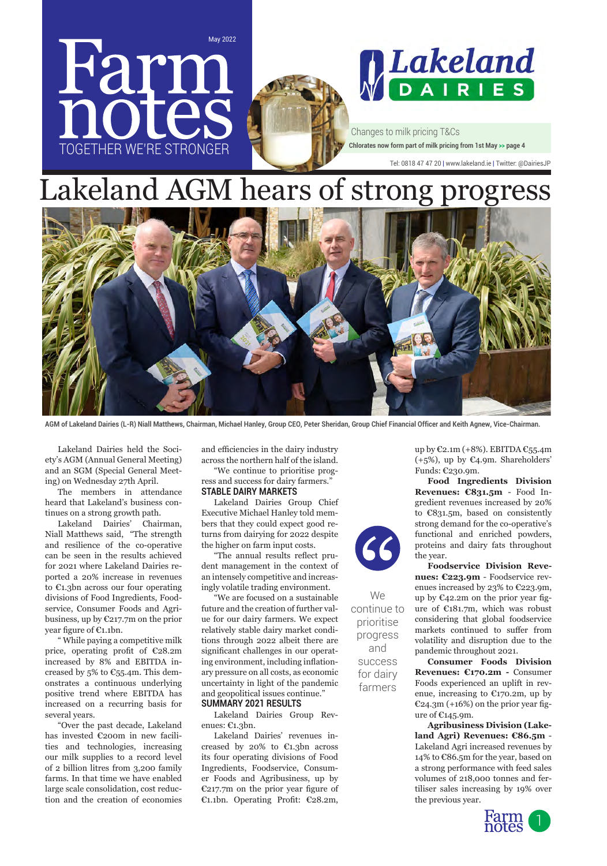

# Lakeland AGM hears of strong progress



**AGM of Lakeland Dairies (L-R) Niall Matthews, Chairman, Michael Hanley, Group CEO, Peter Sheridan, Group Chief Financial Officer and Keith Agnew, Vice-Chairman.**

Lakeland Dairies held the Society's AGM (Annual General Meeting) and an SGM (Special General Meeting) on Wednesday 27th April.

The members in attendance heard that Lakeland's business continues on a strong growth path.

Lakeland Dairies' Chairman, Niall Matthews said, "The strength and resilience of the co-operative can be seen in the results achieved for 2021 where Lakeland Dairies reported a 20% increase in revenues to €1.3bn across our four operating divisions of Food Ingredients, Foodservice, Consumer Foods and Agribusiness, up by €217.7m on the prior year figure of €1.1bn.

" While paying a competitive milk price, operating profit of €28.2m increased by 8% and EBITDA increased by 5% to  $\mathcal{C}_{55}$ .4m. This demonstrates a continuous underlying positive trend where EBITDA has increased on a recurring basis for several years.

"Over the past decade, Lakeland has invested €200m in new facilities and technologies, increasing our milk supplies to a record level of 2 billion litres from 3,200 family farms. In that time we have enabled large scale consolidation, cost reduction and the creation of economies

and efficiencies in the dairy industry across the northern half of the island.

"We continue to prioritise progress and success for dairy farmers." **STABLE DAIRY MARKETS**

Lakeland Dairies Group Chief Executive Michael Hanley told members that they could expect good returns from dairying for 2022 despite the higher on farm input costs.

"The annual results reflect prudent management in the context of an intensely competitive and increasingly volatile trading environment.

"We are focused on a sustainable future and the creation of further value for our dairy farmers. We expect relatively stable dairy market conditions through 2022 albeit there are significant challenges in our operating environment, including inflationary pressure on all costs, as economic uncertainty in light of the pandemic and geopolitical issues continue." **SUMMARY 2021 RESULTS**

Lakeland Dairies Group Revenues: €1.3bn.

Lakeland Dairies' revenues increased by 20% to €1.3bn across its four operating divisions of Food Ingredients, Foodservice, Consumer Foods and Agribusiness, up by €217.7m on the prior year figure of €1.1bn. Operating Profit: €28.2m,



We continue to prioritise progress and success for dairy farmers

up by €2.1m (+8%). EBITDA €55.4m (+5%), up by €4.9m. Shareholders' Funds: €230.9m.

**Food Ingredients Division Revenues: €831.5m** - Food Ingredient revenues increased by 20% to €831.5m, based on consistently strong demand for the co-operative's functional and enriched powders, proteins and dairy fats throughout the year.

**Foodservice Division Revenues: €223.9m** - Foodservice revenues increased by 23% to €223.9m, up by  $\mathfrak{C}_4$ 2.2m on the prior year figure of €181.7m, which was robust considering that global foodservice markets continued to suffer from volatility and disruption due to the pandemic throughout 2021.

**Consumer Foods Division Revenues: €170.2m -** Consumer Foods experienced an uplift in revenue, increasing to  $E$ 170.2m, up by  $E_{24.3m}$  (+16%) on the prior year figure of €145.9m.

**Agribusiness Division (Lakeland Agri) Revenues: €86.5m** - Lakeland Agri increased revenues by 14% to €86.5m for the year, based on a strong performance with feed sales volumes of 218,000 tonnes and fertiliser sales increasing by 19% over the previous year.

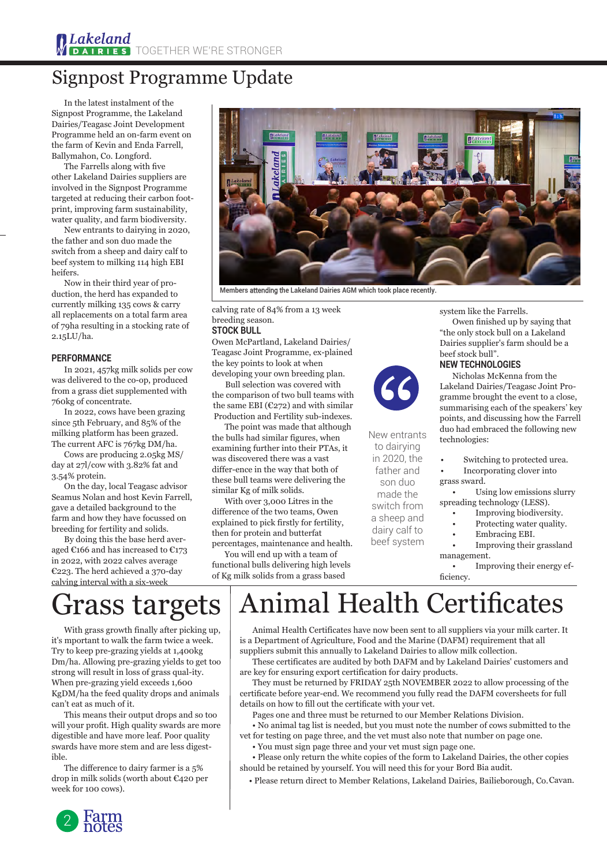### Signpost Programme Update

In the latest instalment of the Signpost Programme, the Lakeland Dairies/Teagasc Joint Development Programme held an on-farm event on the farm of Kevin and Enda Farrell, Ballymahon, Co. Longford.

The Farrells along with five other Lakeland Dairies suppliers are involved in the Signpost Programme targeted at reducing their carbon footprint, improving farm sustainability, water quality, and farm biodiversity.

New entrants to dairying in 2020, the father and son duo made the switch from a sheep and dairy calf to beef system to milking 114 high EBI heifers.

Now in their third year of production, the herd has expanded to currently milking 135 cows & carry all replacements on a total farm area of 79ha resulting in a stocking rate of 2.15LU/ha.

#### **PERFORMANCE**

In 2021, 457kg milk solids per cow was delivered to the co-op, produced from a grass diet supplemented with 760kg of concentrate.

In 2022, cows have been grazing since 5th February, and 85% of the milking platform has been grazed. The current AFC is 767kg DM/ha.

Cows are producing 2.05kg MS/ day at 27l/cow with 3.82% fat and 3.54% protein.

On the day, local Teagasc advisor Seamus Nolan and host Kevin Farrell, gave a detailed background to the farm and how they have focussed on breeding for fertility and solids.

By doing this the base herd averaged €166 and has increased to €173 in 2022, with 2022 calves average €223. The herd achieved a 370-day calving interval with a six-week



**Members** attending t**he Lakeland Dairies AGM which took place recently.** 

calving rate of 84% from a 13 week breeding season.

#### **STOCK BULL**

Owen McPartland, Lakeland Dairies/ Teagasc Joint Programme, ex-plained the key points to look at when developing your own breeding plan.

Bull selection was covered with the comparison of two bull teams with the same EBI ( $C272$ ) and with similar Production and Fertility sub-indexes.

The point was made that although the bulls had similar figures, when examining further into their PTAs, it was discovered there was a vast differ-ence in the way that both of these bull teams were delivering the similar Kg of milk solids.

With over 3,000 Litres in the difference of the two teams, Owen explained to pick firstly for fertility, then for protein and butterfat percentages, maintenance and health.

You will end up with a team of functional bulls delivering high levels of Kg milk solids from a grass based



New entrants to dairying in 2020, the father and son duo made the switch from a sheep and dairy calf to beef system

system like the Farrells.

Owen finished up by saying that "the only stock bull on a Lakeland Dairies supplier's farm should be a beef stock bull".

### **NEW TECHNOLOGIES**

Nicholas McKenna from the Lakeland Dairies/Teagasc Joint Programme brought the event to a close, summarising each of the speakers' key points, and discussing how the Farrell duo had embraced the following new technologies:

Switching to protected urea.

- Incorporating clover into grass sward.
- Using low emissions slurry spreading technology (LESS).
	- Improving biodiversity.
	- Protecting water quality.
	- Embracing EBI.

• Improving their grassland management.

• Improving their energy efficiency.

# Grass targets

With grass growth finally after picking up, it's mportant to walk the farm twice a week. Try to keep pre-grazing yields at 1,400kg Dm/ha. Allowing pre-grazing yields to get too strong will result in loss of grass qual-ity. When pre-grazing yield exceeds 1,600 KgDM/ha the feed quality drops and animals can't eat as much of it.

This means their output drops and so too will your profit. High quality swards are more digestible and have more leaf. Poor quality swards have more stem and are less digestible.

The difference to dairy farmer is a 5% drop in milk solids (worth about €420 per week for 100 cows).

### nimal Health Certificates

Animal Health Certificates have now been sent to all suppliers via your milk carter. It is a Department of Agriculture, Food and the Marine (DAFM) requirement that all

suppliers submit this annually to Lakeland Dairies to allow milk collection. These certificates are audited by both DAFM and by Lakeland Dairies' customers and are key for ensuring export certification for dairy products.

They must be returned by FRIDAY 25th NOVEMBER 2022 to allow processing of the certificate before year-end. We recommend you fully read the DAFM coversheets for full details on how to fill out the certificate with your vet.

Pages one and three must be returned to our Member Relations Division.

• No animal tag list is needed, but you must note the number of cows submitted to the vet for testing on page three, and the vet must also note that number on page one.

• You must sign page three and your vet must sign page one.

• Please only return the white copies of the form to Lakeland Dairies, the other copies should be retained by yourself. You will need this for your Bord Bia audit.

• Please return direct to Member Relations, Lakeland Dairies, Bailieborough, Co.Cavan.

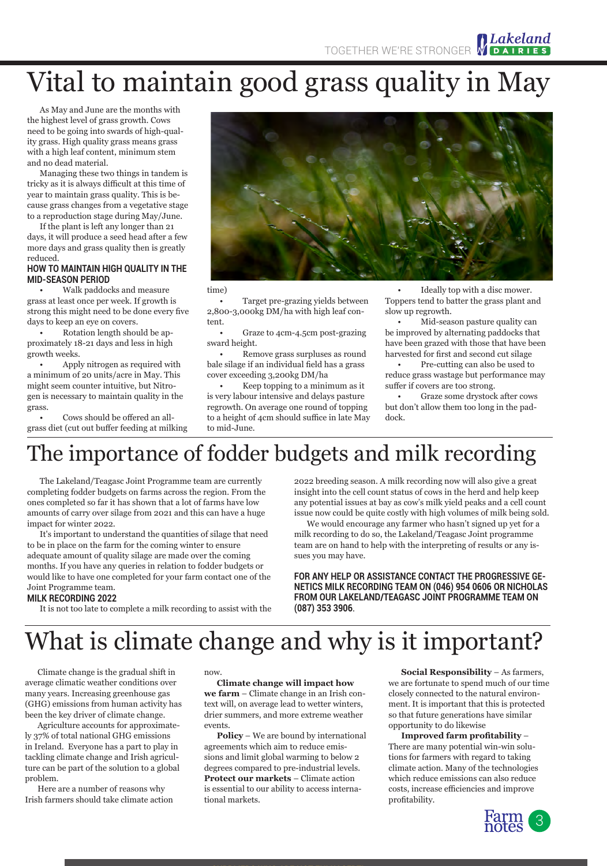# Vital to maintain good grass quality in May

As May and June are the months with the highest level of grass growth. Cows need to be going into swards of high-quality grass. High quality grass means grass with a high leaf content, minimum stem and no dead material.

Managing these two things in tandem is tricky as it is always difficult at this time of year to maintain grass quality. This is because grass changes from a vegetative stage to a reproduction stage during May/June.

If the plant is left any longer than 21 days, it will produce a seed head after a few more days and grass quality then is greatly reduced.

#### **HOW TO MAINTAIN HIGH QUALITY IN THE MID-SEASON PERIOD**

• Walk paddocks and measure grass at least once per week. If growth is strong this might need to be done every five days to keep an eye on covers.

• Rotation length should be approximately 18-21 days and less in high growth weeks.

• Apply nitrogen as required with a minimum of 20 units/acre in May. This might seem counter intuitive, but Nitrogen is necessary to maintain quality in the grass.

• Cows should be offered an allgrass diet (cut out buffer feeding at milking



time)

• Target pre-grazing yields between 2,800-3,000kg DM/ha with high leaf content.

• Graze to 4cm-4.5cm post-grazing sward height.

• Remove grass surpluses as round bale silage if an individual field has a grass cover exceeding 3,200kg DM/ha

• Keep topping to a minimum as it is very labour intensive and delays pasture regrowth. On average one round of topping to a height of 4cm should suffice in late May to mid-June.

Ideally top with a disc mower. Toppers tend to batter the grass plant and slow up regrowth.

• Mid-season pasture quality can be improved by alternating paddocks that have been grazed with those that have been harvested for first and second cut silage

• Pre-cutting can also be used to reduce grass wastage but performance may suffer if covers are too strong.

• Graze some drystock after cows but don't allow them too long in the paddock.

### The importance of fodder budgets and milk recording

The Lakeland/Teagasc Joint Programme team are currently completing fodder budgets on farms across the region. From the ones completed so far it has shown that a lot of farms have low amounts of carry over silage from 2021 and this can have a huge impact for winter 2022.

It's important to understand the quantities of silage that need to be in place on the farm for the coming winter to ensure adequate amount of quality silage are made over the coming months. If you have any queries in relation to fodder budgets or would like to have one completed for your farm contact one of the Joint Programme team.

2022 breeding season. A milk recording now will also give a great insight into the cell count status of cows in the herd and help keep any potential issues at bay as cow's milk yield peaks and a cell count issue now could be quite costly with high volumes of milk being sold. We would encourage any farmer who hasn't signed up yet for a

milk recording to do so, the Lakeland/Teagasc Joint programme team are on hand to help with the interpreting of results or any issues you may have.

**FOR ANY HELP OR ASSISTANCE CONTACT THE PROGRESSIVE GE-NETICS MILK RECORDING TEAM ON (046) 954 0606 OR NICHOLAS FROM OUR LAKELAND/TEAGASC JOINT PROGRAMME TEAM ON (087) 353 3906**.

### **MILK RECORDING 2022**

It is not too late to complete a milk recording to assist with the

## What is climate change and why is it important?

Climate change is the gradual shift in average climatic weather conditions over many years. Increasing greenhouse gas (GHG) emissions from human activity has been the key driver of climate change.

Agriculture accounts for approximately 37% of total national GHG emissions in Ireland. Everyone has a part to play in tackling climate change and Irish agriculture can be part of the solution to a global problem.

Here are a number of reasons why Irish farmers should take climate action now.

**Climate change will impact how we farm** – Climate change in an Irish context will, on average lead to wetter winters, drier summers, and more extreme weather events.

**Policy** – We are bound by international agreements which aim to reduce emissions and limit global warming to below 2 degrees compared to pre-industrial levels. **Protect our markets** – Climate action is essential to our ability to access international markets.

**Social Responsibility** – As farmers, we are fortunate to spend much of our time closely connected to the natural environment. It is important that this is protected so that future generations have similar opportunity to do likewise

**Improved farm profitability** – There are many potential win-win solutions for farmers with regard to taking climate action. Many of the technologies which reduce emissions can also reduce costs, increase efficiencies and improve profitability.